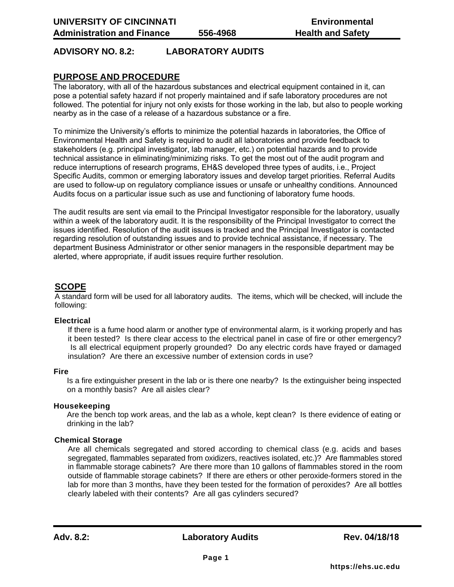# **ADVISORY NO. 8.2: LABORATORY AUDITS**

## **PURPOSE AND PROCEDURE**

The laboratory, with all of the hazardous substances and electrical equipment contained in it, can pose a potential safety hazard if not properly maintained and if safe laboratory procedures are not followed. The potential for injury not only exists for those working in the lab, but also to people working nearby as in the case of a release of a hazardous substance or a fire.

To minimize the University's efforts to minimize the potential hazards in laboratories, the Office of Environmental Health and Safety is required to audit all laboratories and provide feedback to stakeholders (e.g. principal investigator, lab manager, etc.) on potential hazards and to provide technical assistance in eliminating/minimizing risks. To get the most out of the audit program and reduce interruptions of research programs, EH&S developed three types of audits, i.e., Project Specific Audits, common or emerging laboratory issues and develop target priorities. Referral Audits are used to follow-up on regulatory compliance issues or unsafe or unhealthy conditions. Announced Audits focus on a particular issue such as use and functioning of laboratory fume hoods.

The audit results are sent via email to the Principal Investigator responsible for the laboratory, usually within a week of the laboratory audit. It is the responsibility of the Principal Investigator to correct the issues identified. Resolution of the audit issues is tracked and the Principal Investigator is contacted regarding resolution of outstanding issues and to provide technical assistance, if necessary. The department Business Administrator or other senior managers in the responsible department may be alerted, where appropriate, if audit issues require further resolution.

## **SCOPE**

A standard form will be used for all laboratory audits. The items, which will be checked, will include the following:

#### **Electrical**

If there is a fume hood alarm or another type of environmental alarm, is it working properly and has it been tested? Is there clear access to the electrical panel in case of fire or other emergency? Is all electrical equipment properly grounded? Do any electric cords have frayed or damaged insulation? Are there an excessive number of extension cords in use?

#### **Fire**

Is a fire extinguisher present in the lab or is there one nearby? Is the extinguisher being inspected on a monthly basis? Are all aisles clear?

### **Housekeeping**

Are the bench top work areas, and the lab as a whole, kept clean? Is there evidence of eating or drinking in the lab?

### **Chemical Storage**

Are all chemicals segregated and stored according to chemical class (e.g. acids and bases segregated, flammables separated from oxidizers, reactives isolated, etc.)? Are flammables stored in flammable storage cabinets? Are there more than 10 gallons of flammables stored in the room outside of flammable storage cabinets? If there are ethers or other peroxide-formers stored in the lab for more than 3 months, have they been tested for the formation of peroxides? Are all bottles clearly labeled with their contents? Are all gas cylinders secured?